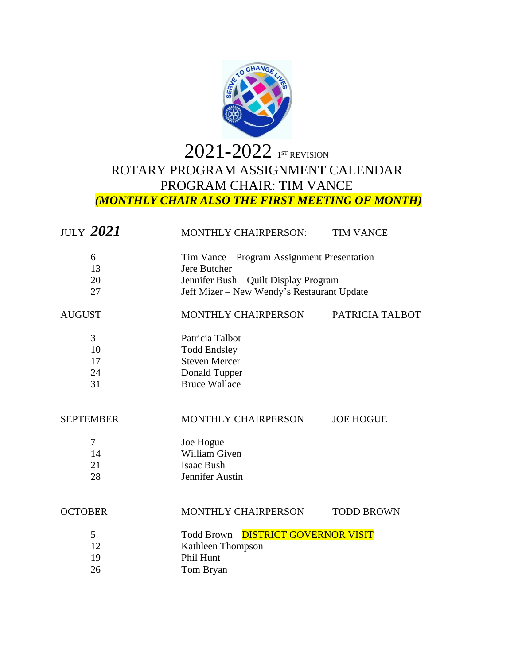

## – $2022$  1st revision ROTARY PROGRAM ASSIGNMENT CALENDAR PROGRAM CHAIR: TIM VANCE *(MONTHLY CHAIR ALSO THE FIRST MEETING OF MONTH)*

| MONTHLY CHAIRPERSON:                                                                                                                               | <b>TIM VANCE</b>  |
|----------------------------------------------------------------------------------------------------------------------------------------------------|-------------------|
| Tim Vance – Program Assignment Presentation<br>Jere Butcher<br>Jennifer Bush - Quilt Display Program<br>Jeff Mizer - New Wendy's Restaurant Update |                   |
| MONTHLY CHAIRPERSON                                                                                                                                | PATRICIA TALBOT   |
| Patricia Talbot<br><b>Todd Endsley</b><br><b>Steven Mercer</b><br>Donald Tupper<br><b>Bruce Wallace</b>                                            |                   |
| MONTHLY CHAIRPERSON                                                                                                                                | <b>JOE HOGUE</b>  |
| Joe Hogue<br>William Given<br><b>Isaac Bush</b><br>Jennifer Austin                                                                                 |                   |
| MONTHLY CHAIRPERSON                                                                                                                                | <b>TODD BROWN</b> |
| <b>DISTRICT GOVERNOR VISIT</b><br><b>Todd Brown</b><br>Kathleen Thompson<br>Phil Hunt<br>Tom Bryan                                                 |                   |
|                                                                                                                                                    |                   |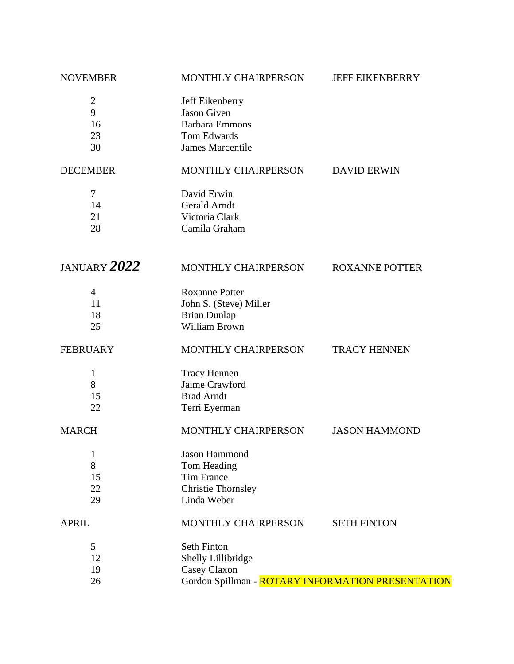| <b>NOVEMBER</b>                       | MONTHLY CHAIRPERSON                                                                                             | <b>JEFF EIKENBERRY</b> |
|---------------------------------------|-----------------------------------------------------------------------------------------------------------------|------------------------|
| $\overline{2}$<br>9<br>16<br>23<br>30 | Jeff Eikenberry<br><b>Jason Given</b><br><b>Barbara Emmons</b><br><b>Tom Edwards</b><br><b>James Marcentile</b> |                        |
| <b>DECEMBER</b>                       | MONTHLY CHAIRPERSON                                                                                             | <b>DAVID ERWIN</b>     |
| $\tau$<br>14<br>21<br>28              | David Erwin<br><b>Gerald Arndt</b><br>Victoria Clark<br>Camila Graham                                           |                        |
| JANUARY 2022                          | MONTHLY CHAIRPERSON                                                                                             | <b>ROXANNE POTTER</b>  |
| $\overline{4}$<br>11<br>18<br>25      | <b>Roxanne Potter</b><br>John S. (Steve) Miller<br><b>Brian Dunlap</b><br>William Brown                         |                        |
| <b>FEBRUARY</b>                       | MONTHLY CHAIRPERSON                                                                                             | <b>TRACY HENNEN</b>    |
| 1<br>8<br>15<br>22                    | <b>Tracy Hennen</b><br>Jaime Crawford<br><b>Brad Arndt</b><br>Terri Eyerman                                     |                        |
| <b>MARCH</b>                          | MONTHLY CHAIRPERSON                                                                                             | <b>JASON HAMMOND</b>   |
| 1<br>8<br>15<br>22<br>29              | Jason Hammond<br>Tom Heading<br><b>Tim France</b><br><b>Christie Thornsley</b><br>Linda Weber                   |                        |
| <b>APRIL</b>                          | MONTHLY CHAIRPERSON                                                                                             | <b>SETH FINTON</b>     |
| 5<br>12<br>19<br>26                   | <b>Seth Finton</b><br>Shelly Lillibridge<br>Casey Claxon<br>Gordon Spillman - ROTARY INFORMATION PRESENTATION   |                        |